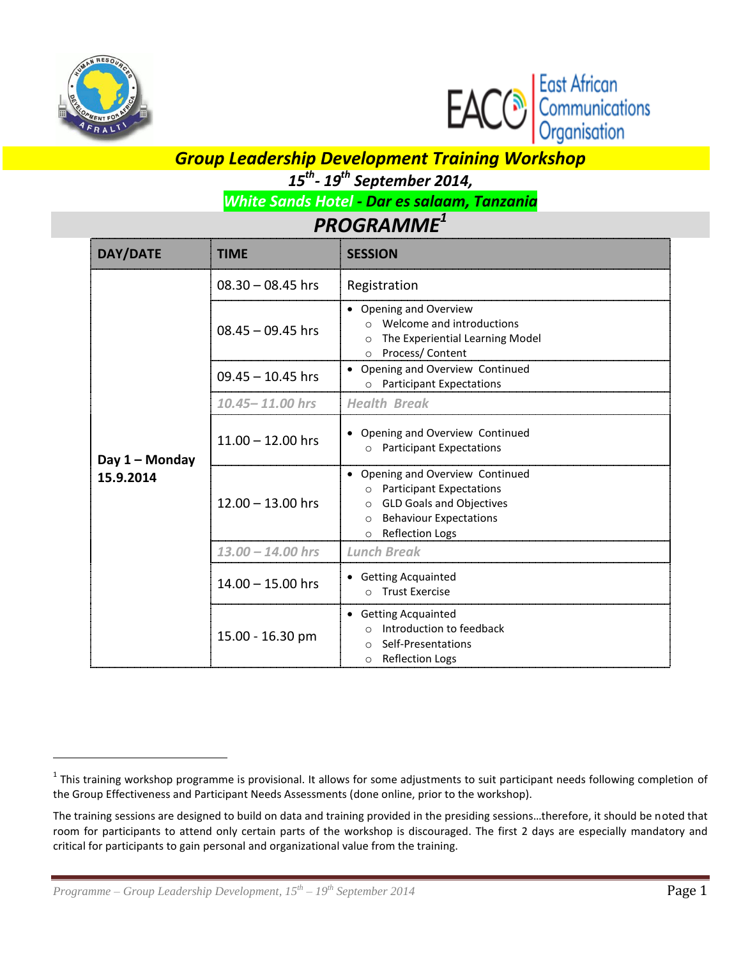

 $\overline{a}$ 



## *Group Leadership Development Training Workshop*

*15 th - 19 th September 2014,* 

*White Sands Hotel - Dar es salaam, Tanzania*

## *PROGRAMME<sup>1</sup>*

| DAY/DATE                    | <b>TIME</b>         | <b>SESSION</b>                                                                                                                                                                                               |
|-----------------------------|---------------------|--------------------------------------------------------------------------------------------------------------------------------------------------------------------------------------------------------------|
|                             | $08.30 - 08.45$ hrs | Registration                                                                                                                                                                                                 |
|                             | $08.45 - 09.45$ hrs | • Opening and Overview<br>Welcome and introductions<br>$\Omega$<br>The Experiential Learning Model<br>$\Omega$<br>Process/ Content<br>$\circ$                                                                |
|                             | $09.45 - 10.45$ hrs | Opening and Overview Continued<br>o Participant Expectations                                                                                                                                                 |
|                             | $10.45 - 11.00$ hrs | <b>Health Break</b>                                                                                                                                                                                          |
| Day 1 - Monday<br>15.9.2014 | $11.00 - 12.00$ hrs | • Opening and Overview Continued<br>o Participant Expectations                                                                                                                                               |
|                             | $12.00 - 13.00$ hrs | Opening and Overview Continued<br><b>Participant Expectations</b><br>$\circ$<br><b>GLD Goals and Objectives</b><br>$\circ$<br><b>Behaviour Expectations</b><br>$\Omega$<br><b>Reflection Logs</b><br>$\circ$ |
|                             | $13.00 - 14.00$ hrs | <b>Lunch Break</b>                                                                                                                                                                                           |
|                             | $14.00 - 15.00$ hrs | • Getting Acquainted<br><b>Trust Exercise</b><br>$\Omega$                                                                                                                                                    |
|                             | 15.00 - 16.30 pm    | • Getting Acquainted<br>Introduction to feedback<br>$\Omega$<br>Self-Presentations<br>$\circ$<br><b>Reflection Logs</b><br>$\circ$                                                                           |

 $^1$  This training workshop programme is provisional. It allows for some adjustments to suit participant needs following completion of the Group Effectiveness and Participant Needs Assessments (done online, prior to the workshop).

The training sessions are designed to build on data and training provided in the presiding sessions…therefore, it should be noted that room for participants to attend only certain parts of the workshop is discouraged. The first 2 days are especially mandatory and critical for participants to gain personal and organizational value from the training.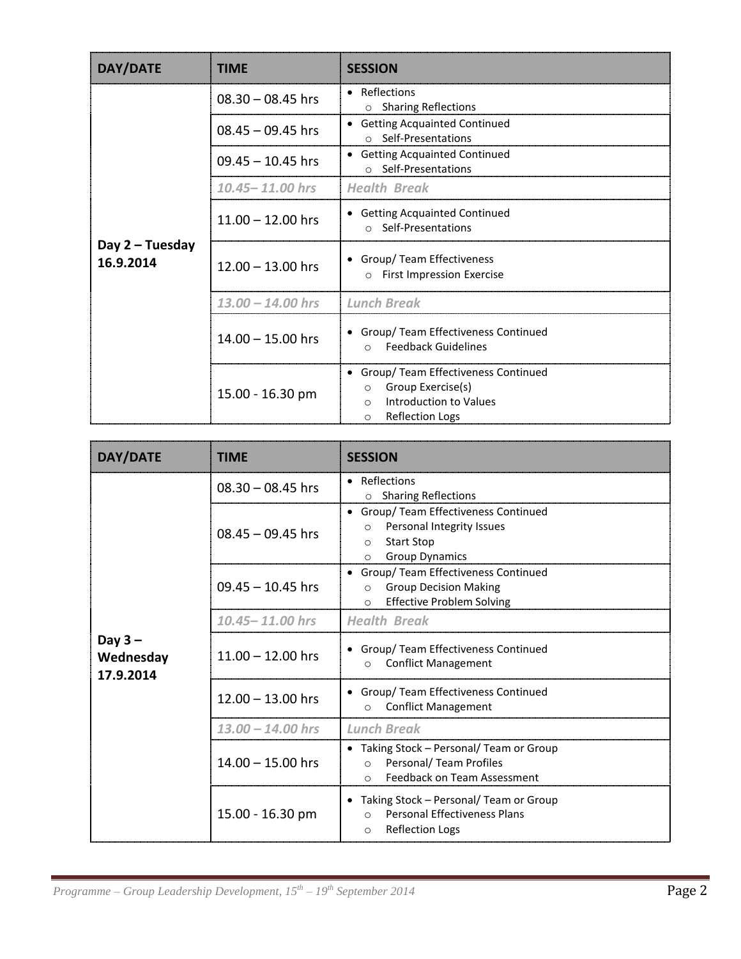| DAY/DATE                       | <b>TIME</b>         | <b>SESSION</b>                                                                                                                                     |
|--------------------------------|---------------------|----------------------------------------------------------------------------------------------------------------------------------------------------|
| Day $2$ – Tuesday<br>16.9.2014 | $08.30 - 08.45$ hrs | Reflections<br>$\bullet$<br>○ Sharing Reflections                                                                                                  |
|                                | $08.45 - 09.45$ hrs | • Getting Acquainted Continued<br>o Self-Presentations                                                                                             |
|                                | $09.45 - 10.45$ hrs | • Getting Acquainted Continued<br>○ Self-Presentations                                                                                             |
|                                | $10.45 - 11.00$ hrs | <b>Health Break</b>                                                                                                                                |
|                                | $11.00 - 12.00$ hrs | <b>Getting Acquainted Continued</b><br>$\bullet$<br>o Self-Presentations                                                                           |
|                                | $12.00 - 13.00$ hrs | • Group/ Team Effectiveness<br><b>First Impression Exercise</b><br>$\circ$                                                                         |
|                                | $13.00 - 14.00$ hrs | <b>Lunch Break</b>                                                                                                                                 |
|                                | $14.00 - 15.00$ hrs | • Group/ Team Effectiveness Continued<br><b>Feedback Guidelines</b><br>$\Omega$                                                                    |
|                                | 15.00 - 16.30 pm    | • Group/ Team Effectiveness Continued<br>Group Exercise(s)<br>$\circ$<br>Introduction to Values<br>$\bigcirc$<br><b>Reflection Logs</b><br>$\circ$ |

| DAY/DATE                            | <b>TIME</b>         | <b>SESSION</b>                                                                                                                                    |
|-------------------------------------|---------------------|---------------------------------------------------------------------------------------------------------------------------------------------------|
| Day $3 -$<br>Wednesday<br>17.9.2014 | $08.30 - 08.45$ hrs | • Reflections<br>○ Sharing Reflections                                                                                                            |
|                                     | $08.45 - 09.45$ hrs | • Group/ Team Effectiveness Continued<br>Personal Integrity Issues<br>$\circ$<br><b>Start Stop</b><br>$\circ$<br><b>Group Dynamics</b><br>$\circ$ |
|                                     | $09.45 - 10.45$ hrs | • Group/ Team Effectiveness Continued<br><b>Group Decision Making</b><br>$\circ$<br><b>Effective Problem Solving</b><br>$\circ$                   |
|                                     | 10.45-11.00 hrs     | <b>Health Break</b>                                                                                                                               |
|                                     | $11.00 - 12.00$ hrs | • Group/ Team Effectiveness Continued<br><b>Conflict Management</b><br>$\Omega$                                                                   |
|                                     | $12.00 - 13.00$ hrs | • Group/ Team Effectiveness Continued<br><b>Conflict Management</b><br>$\Omega$                                                                   |
|                                     | $13.00 - 14.00$ hrs | <b>Lunch Break</b>                                                                                                                                |
|                                     | $14.00 - 15.00$ hrs | • Taking Stock - Personal/ Team or Group<br>Personal/ Team Profiles<br>$\circ$<br><b>Feedback on Team Assessment</b><br>$\Omega$                  |
|                                     | 15.00 - 16.30 pm    | Taking Stock - Personal/ Team or Group<br>$\bullet$<br><b>Personal Effectiveness Plans</b><br>$\bigcirc$<br><b>Reflection Logs</b><br>$\circ$     |